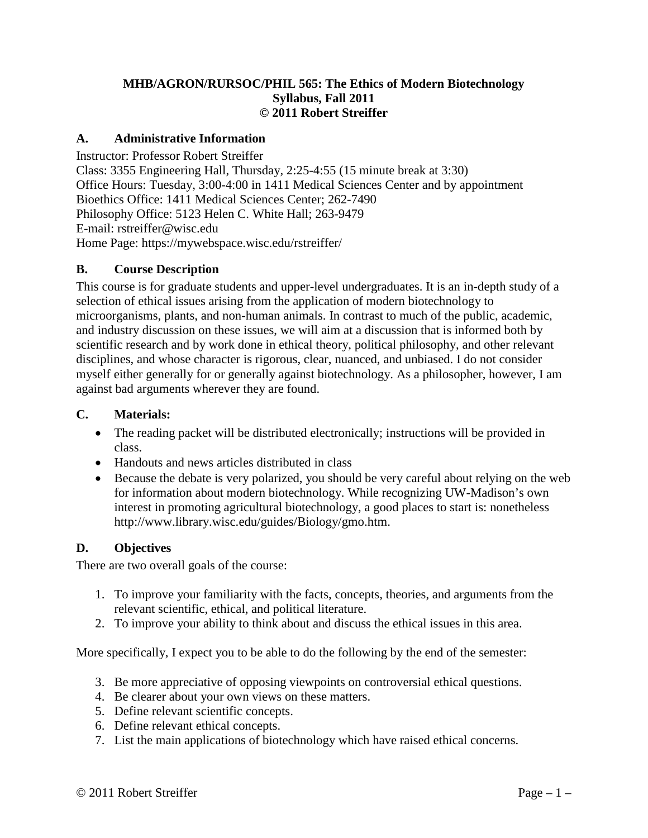#### **MHB/AGRON/RURSOC/PHIL 565: The Ethics of Modern Biotechnology Syllabus, Fall 2011 © 2011 Robert Streiffer**

#### **A. Administrative Information**

Instructor: Professor Robert Streiffer Class: 3355 Engineering Hall, Thursday, 2:25-4:55 (15 minute break at 3:30) Office Hours: Tuesday, 3:00-4:00 in 1411 Medical Sciences Center and by appointment Bioethics Office: 1411 Medical Sciences Center; 262-7490 Philosophy Office: 5123 Helen C. White Hall; 263-9479 E-mail: rstreiffer@wisc.edu Home Page: https://mywebspace.wisc.edu/rstreiffer/

#### **B. Course Description**

This course is for graduate students and upper-level undergraduates. It is an in-depth study of a selection of ethical issues arising from the application of modern biotechnology to microorganisms, plants, and non-human animals. In contrast to much of the public, academic, and industry discussion on these issues, we will aim at a discussion that is informed both by scientific research and by work done in ethical theory, political philosophy, and other relevant disciplines, and whose character is rigorous, clear, nuanced, and unbiased. I do not consider myself either generally for or generally against biotechnology. As a philosopher, however, I am against bad arguments wherever they are found.

#### **C. Materials:**

- The reading packet will be distributed electronically; instructions will be provided in class.
- Handouts and news articles distributed in class
- Because the debate is very polarized, you should be very careful about relying on the web for information about modern biotechnology. While recognizing UW-Madison's own interest in promoting agricultural biotechnology, a good places to start is: nonetheless http://www.library.wisc.edu/guides/Biology/gmo.htm.

#### **D. Objectives**

There are two overall goals of the course:

- 1. To improve your familiarity with the facts, concepts, theories, and arguments from the relevant scientific, ethical, and political literature.
- 2. To improve your ability to think about and discuss the ethical issues in this area.

More specifically, I expect you to be able to do the following by the end of the semester:

- 3. Be more appreciative of opposing viewpoints on controversial ethical questions.
- 4. Be clearer about your own views on these matters.
- 5. Define relevant scientific concepts.
- 6. Define relevant ethical concepts.
- 7. List the main applications of biotechnology which have raised ethical concerns.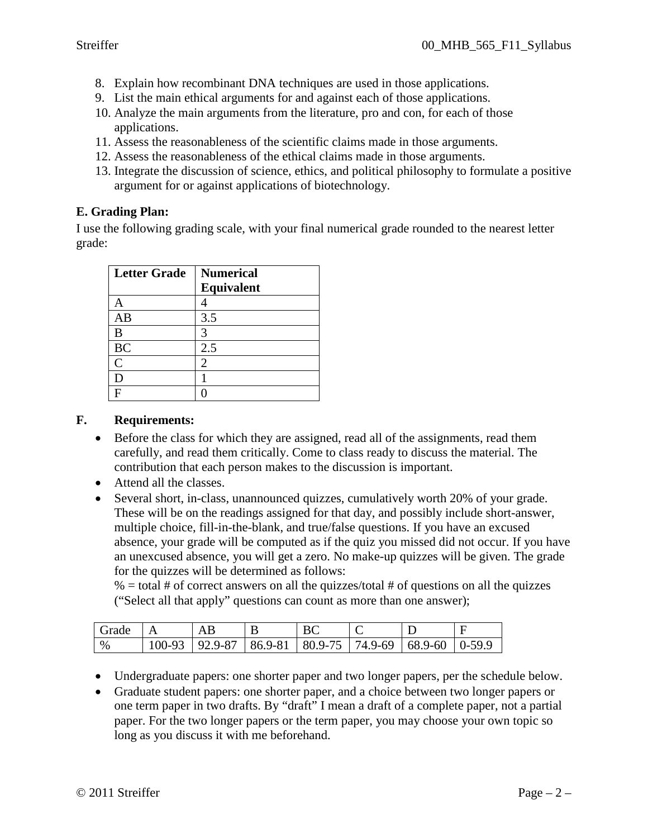- 8. Explain how recombinant DNA techniques are used in those applications.
- 9. List the main ethical arguments for and against each of those applications.
- 10. Analyze the main arguments from the literature, pro and con, for each of those applications.
- 11. Assess the reasonableness of the scientific claims made in those arguments.
- 12. Assess the reasonableness of the ethical claims made in those arguments.
- 13. Integrate the discussion of science, ethics, and political philosophy to formulate a positive argument for or against applications of biotechnology.

### **E. Grading Plan:**

I use the following grading scale, with your final numerical grade rounded to the nearest letter grade:

| <b>Letter Grade</b> | <b>Numerical</b>  |
|---------------------|-------------------|
|                     | <b>Equivalent</b> |
|                     |                   |
| AB                  | 3.5               |
| B                   | 3                 |
| <b>BC</b>           | 2.5               |
| $\overline{C}$      | 2                 |
|                     |                   |
|                     |                   |

#### **F. Requirements:**

- Before the class for which they are assigned, read all of the assignments, read them carefully, and read them critically. Come to class ready to discuss the material. The contribution that each person makes to the discussion is important.
- Attend all the classes.
- Several short, in-class, unannounced quizzes, cumulatively worth 20% of your grade. These will be on the readings assigned for that day, and possibly include short-answer, multiple choice, fill-in-the-blank, and true/false questions. If you have an excused absence, your grade will be computed as if the quiz you missed did not occur. If you have an unexcused absence, you will get a zero. No make-up quizzes will be given. The grade for the quizzes will be determined as follows:

 $% =$  total # of correct answers on all the quizzes/total # of questions on all the quizzes ("Select all that apply" questions can count as more than one answer);

| Grade |            |                     |                    | ◡ |                    |  |
|-------|------------|---------------------|--------------------|---|--------------------|--|
| $\%$  | $100 - 93$ | $92.9 - 87$ 86.9-81 | $ 80.9-75 74.9-69$ |   | $68.9 - 60$ 0-59.9 |  |

- Undergraduate papers: one shorter paper and two longer papers, per the schedule below.
- Graduate student papers: one shorter paper, and a choice between two longer papers or one term paper in two drafts. By "draft" I mean a draft of a complete paper, not a partial paper. For the two longer papers or the term paper, you may choose your own topic so long as you discuss it with me beforehand.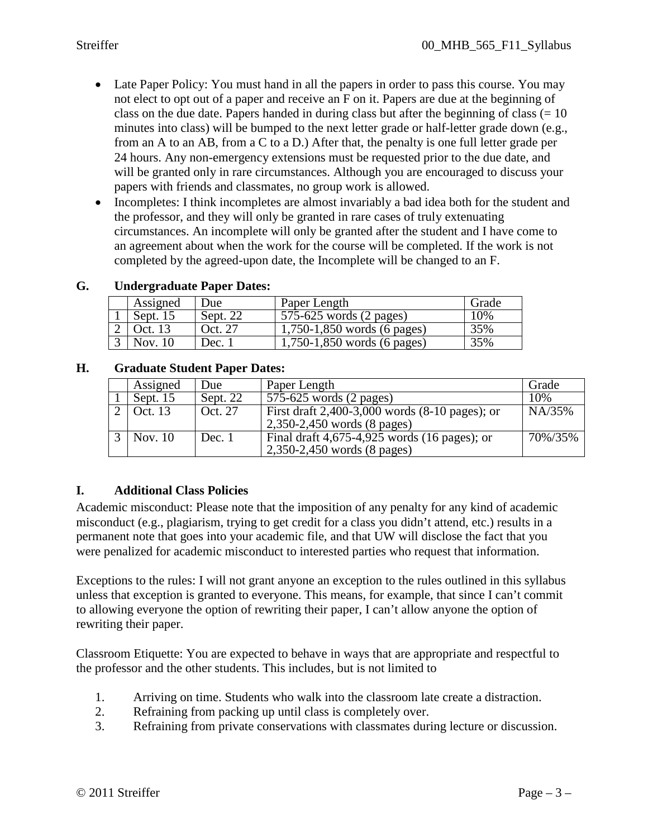- Late Paper Policy: You must hand in all the papers in order to pass this course. You may not elect to opt out of a paper and receive an F on it. Papers are due at the beginning of class on the due date. Papers handed in during class but after the beginning of class  $(= 10)$ minutes into class) will be bumped to the next letter grade or half-letter grade down (e.g., from an A to an AB, from a C to a D.) After that, the penalty is one full letter grade per 24 hours. Any non-emergency extensions must be requested prior to the due date, and will be granted only in rare circumstances. Although you are encouraged to discuss your papers with friends and classmates, no group work is allowed.
- Incompletes: I think incompletes are almost invariably a bad idea both for the student and the professor, and they will only be granted in rare cases of truly extenuating circumstances. An incomplete will only be granted after the student and I have come to an agreement about when the work for the course will be completed. If the work is not completed by the agreed-upon date, the Incomplete will be changed to an F.

| Assigned | Jue      | Paper Length                        | Grade |
|----------|----------|-------------------------------------|-------|
| Sept. 15 | Sept. 22 | $575-625$ words $(2 \text{ pages})$ | 10%   |
| Oct. 13  | Oct. 27  | $1,750-1,850$ words (6 pages)       | 35%   |
| Nov.     | Dec.     | 1,750-1,850 words (6 pages)         | 35%   |

### **G. Undergraduate Paper Dates:**

#### **H. Graduate Student Paper Dates:**

| Assigned   | Due      | Paper Length                                                                      | Grade   |
|------------|----------|-----------------------------------------------------------------------------------|---------|
| Sept. $15$ | Sept. 22 | 575-625 words (2 pages)                                                           | 10%     |
| Oct. 13    | Oct. 27  | First draft $2,400-3,000$ words $(8-10$ pages); or<br>2,350-2,450 words (8 pages) | NA/35%  |
| Nov. $10$  | Dec. 1   | Final draft $4,675-4,925$ words (16 pages); or<br>2,350-2,450 words (8 pages)     | 70%/35% |

### **I. Additional Class Policies**

Academic misconduct: Please note that the imposition of any penalty for any kind of academic misconduct (e.g., plagiarism, trying to get credit for a class you didn't attend, etc.) results in a permanent note that goes into your academic file, and that UW will disclose the fact that you were penalized for academic misconduct to interested parties who request that information.

Exceptions to the rules: I will not grant anyone an exception to the rules outlined in this syllabus unless that exception is granted to everyone. This means, for example, that since I can't commit to allowing everyone the option of rewriting their paper, I can't allow anyone the option of rewriting their paper.

Classroom Etiquette: You are expected to behave in ways that are appropriate and respectful to the professor and the other students. This includes, but is not limited to

- 1. Arriving on time. Students who walk into the classroom late create a distraction.
- 2. Refraining from packing up until class is completely over.
- 3. Refraining from private conservations with classmates during lecture or discussion.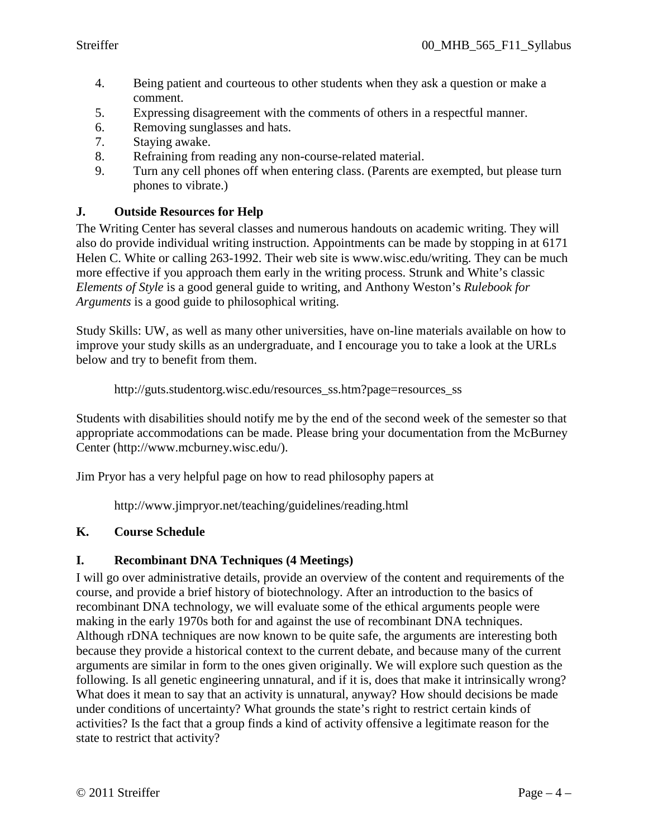- 4. Being patient and courteous to other students when they ask a question or make a comment.
- 5. Expressing disagreement with the comments of others in a respectful manner.
- 6. Removing sunglasses and hats.
- 7. Staying awake.
- 8. Refraining from reading any non-course-related material.
- 9. Turn any cell phones off when entering class. (Parents are exempted, but please turn phones to vibrate.)

### **J. Outside Resources for Help**

The Writing Center has several classes and numerous handouts on academic writing. They will also do provide individual writing instruction. Appointments can be made by stopping in at 6171 Helen C. White or calling 263-1992. Their web site is www.wisc.edu/writing. They can be much more effective if you approach them early in the writing process. Strunk and White's classic *Elements of Style* is a good general guide to writing, and Anthony Weston's *Rulebook for Arguments* is a good guide to philosophical writing.

Study Skills: UW, as well as many other universities, have on-line materials available on how to improve your study skills as an undergraduate, and I encourage you to take a look at the URLs below and try to benefit from them.

http://guts.studentorg.wisc.edu/resources\_ss.htm?page=resources\_ss

Students with disabilities should notify me by the end of the second week of the semester so that appropriate accommodations can be made. Please bring your documentation from the McBurney Center (http://www.mcburney.wisc.edu/).

Jim Pryor has a very helpful page on how to read philosophy papers at

http://www.jimpryor.net/teaching/guidelines/reading.html

### **K. Course Schedule**

### **I. Recombinant DNA Techniques (4 Meetings)**

I will go over administrative details, provide an overview of the content and requirements of the course, and provide a brief history of biotechnology. After an introduction to the basics of recombinant DNA technology, we will evaluate some of the ethical arguments people were making in the early 1970s both for and against the use of recombinant DNA techniques. Although rDNA techniques are now known to be quite safe, the arguments are interesting both because they provide a historical context to the current debate, and because many of the current arguments are similar in form to the ones given originally. We will explore such question as the following. Is all genetic engineering unnatural, and if it is, does that make it intrinsically wrong? What does it mean to say that an activity is unnatural, anyway? How should decisions be made under conditions of uncertainty? What grounds the state's right to restrict certain kinds of activities? Is the fact that a group finds a kind of activity offensive a legitimate reason for the state to restrict that activity?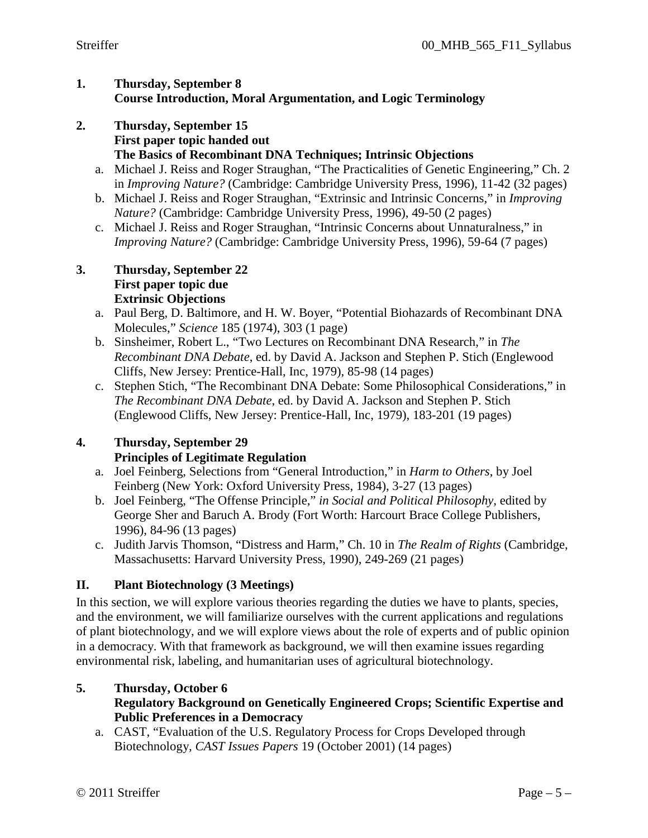#### **1. Thursday, September 8 Course Introduction, Moral Argumentation, and Logic Terminology**

- **2. Thursday, September 15 First paper topic handed out The Basics of Recombinant DNA Techniques; Intrinsic Objections**
	- a. Michael J. Reiss and Roger Straughan, "The Practicalities of Genetic Engineering," Ch. 2 in *Improving Nature?* (Cambridge: Cambridge University Press, 1996), 11-42 (32 pages)
	- b. Michael J. Reiss and Roger Straughan, "Extrinsic and Intrinsic Concerns," in *Improving Nature?* (Cambridge: Cambridge University Press, 1996), 49-50 (2 pages)
	- c. Michael J. Reiss and Roger Straughan, "Intrinsic Concerns about Unnaturalness," in *Improving Nature?* (Cambridge: Cambridge University Press, 1996), 59-64 (7 pages)

#### **3. Thursday, September 22 First paper topic due Extrinsic Objections**

- a. Paul Berg, D. Baltimore, and H. W. Boyer, "Potential Biohazards of Recombinant DNA Molecules," *Science* 185 (1974), 303 (1 page)
- b. Sinsheimer, Robert L., "Two Lectures on Recombinant DNA Research," in *The Recombinant DNA Debate*, ed. by David A. Jackson and Stephen P. Stich (Englewood Cliffs, New Jersey: Prentice-Hall, Inc, 1979), 85-98 (14 pages)
- c. Stephen Stich, "The Recombinant DNA Debate: Some Philosophical Considerations," in *The Recombinant DNA Debate*, ed. by David A. Jackson and Stephen P. Stich (Englewood Cliffs, New Jersey: Prentice-Hall, Inc, 1979), 183-201 (19 pages)

### **4. Thursday, September 29 Principles of Legitimate Regulation**

- a. Joel Feinberg, Selections from "General Introduction," in *Harm to Others*, by Joel Feinberg (New York: Oxford University Press, 1984), 3-27 (13 pages)
- b. Joel Feinberg, "The Offense Principle," *in Social and Political Philosophy*, edited by George Sher and Baruch A. Brody (Fort Worth: Harcourt Brace College Publishers, 1996), 84-96 (13 pages)
- c. Judith Jarvis Thomson, "Distress and Harm," Ch. 10 in *The Realm of Rights* (Cambridge, Massachusetts: Harvard University Press, 1990), 249-269 (21 pages)

# **II. Plant Biotechnology (3 Meetings)**

In this section, we will explore various theories regarding the duties we have to plants, species, and the environment, we will familiarize ourselves with the current applications and regulations of plant biotechnology, and we will explore views about the role of experts and of public opinion in a democracy. With that framework as background, we will then examine issues regarding environmental risk, labeling, and humanitarian uses of agricultural biotechnology.

# **5. Thursday, October 6**

### **Regulatory Background on Genetically Engineered Crops; Scientific Expertise and Public Preferences in a Democracy**

a. CAST, "Evaluation of the U.S. Regulatory Process for Crops Developed through Biotechnology*, CAST Issues Papers* 19 (October 2001) (14 pages)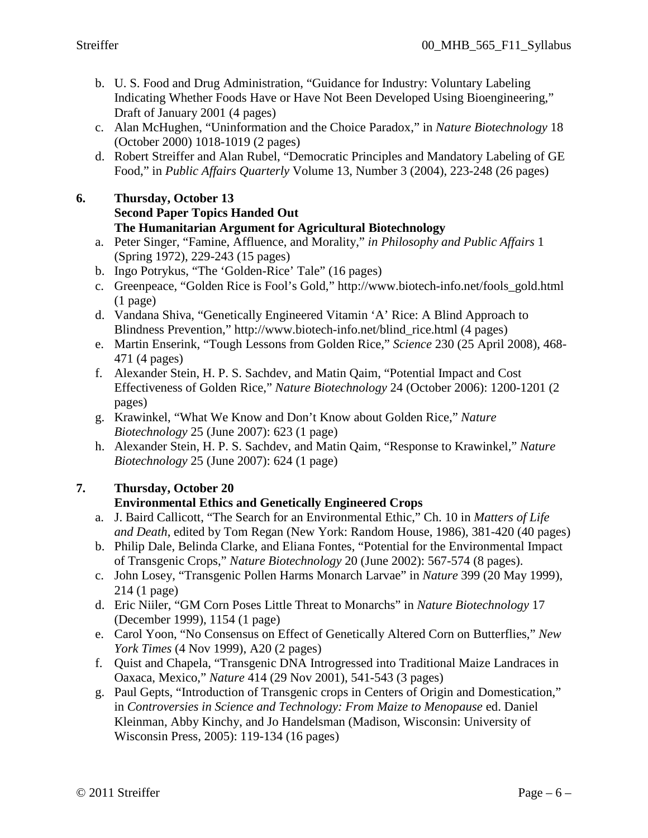- b. U. S. Food and Drug Administration, "Guidance for Industry: Voluntary Labeling Indicating Whether Foods Have or Have Not Been Developed Using Bioengineering," Draft of January 2001 (4 pages)
- c. Alan McHughen, "Uninformation and the Choice Paradox," in *Nature Biotechnology* 18 (October 2000) 1018-1019 (2 pages)
- d. Robert Streiffer and Alan Rubel, "Democratic Principles and Mandatory Labeling of GE Food," in *Public Affairs Quarterly* Volume 13, Number 3 (2004), 223-248 (26 pages)

# **6. Thursday, October 13**

### **Second Paper Topics Handed Out**

### **The Humanitarian Argument for Agricultural Biotechnology**

- a. Peter Singer, "Famine, Affluence, and Morality," *in Philosophy and Public Affairs* 1 (Spring 1972), 229-243 (15 pages)
- b. Ingo Potrykus, "The 'Golden-Rice' Tale" (16 pages)
- c. Greenpeace, "Golden Rice is Fool's Gold," http://www.biotech-info.net/fools\_gold.html (1 page)
- d. Vandana Shiva, "Genetically Engineered Vitamin 'A' Rice: A Blind Approach to Blindness Prevention," http://www.biotech-info.net/blind\_rice.html (4 pages)
- e. Martin Enserink, "Tough Lessons from Golden Rice," *Science* 230 (25 April 2008), 468- 471 (4 pages)
- f. Alexander Stein, H. P. S. Sachdev, and Matin Qaim, "Potential Impact and Cost Effectiveness of Golden Rice," *Nature Biotechnology* 24 (October 2006): 1200-1201 (2 pages)
- g. Krawinkel, "What We Know and Don't Know about Golden Rice," *Nature Biotechnology* 25 (June 2007): 623 (1 page)
- h. Alexander Stein, H. P. S. Sachdev, and Matin Qaim, "Response to Krawinkel," *Nature Biotechnology* 25 (June 2007): 624 (1 page)

### **7. Thursday, October 20**

### **Environmental Ethics and Genetically Engineered Crops**

- a. J. Baird Callicott, "The Search for an Environmental Ethic," Ch. 10 in *Matters of Life and Death*, edited by Tom Regan (New York: Random House, 1986), 381-420 (40 pages)
- b. Philip Dale, Belinda Clarke, and Eliana Fontes, "Potential for the Environmental Impact of Transgenic Crops," *Nature Biotechnology* 20 (June 2002): 567-574 (8 pages).
- c. John Losey, "Transgenic Pollen Harms Monarch Larvae" in *Nature* 399 (20 May 1999), 214 (1 page)
- d. Eric Niiler, "GM Corn Poses Little Threat to Monarchs" in *Nature Biotechnology* 17 (December 1999), 1154 (1 page)
- e. Carol Yoon, "No Consensus on Effect of Genetically Altered Corn on Butterflies," *New York Times* (4 Nov 1999), A20 (2 pages)
- f. Quist and Chapela, "Transgenic DNA Introgressed into Traditional Maize Landraces in Oaxaca, Mexico," *Nature* 414 (29 Nov 2001), 541-543 (3 pages)
- g. Paul Gepts, "Introduction of Transgenic crops in Centers of Origin and Domestication," in *Controversies in Science and Technology: From Maize to Menopause* ed. Daniel Kleinman, Abby Kinchy, and Jo Handelsman (Madison, Wisconsin: University of Wisconsin Press, 2005): 119-134 (16 pages)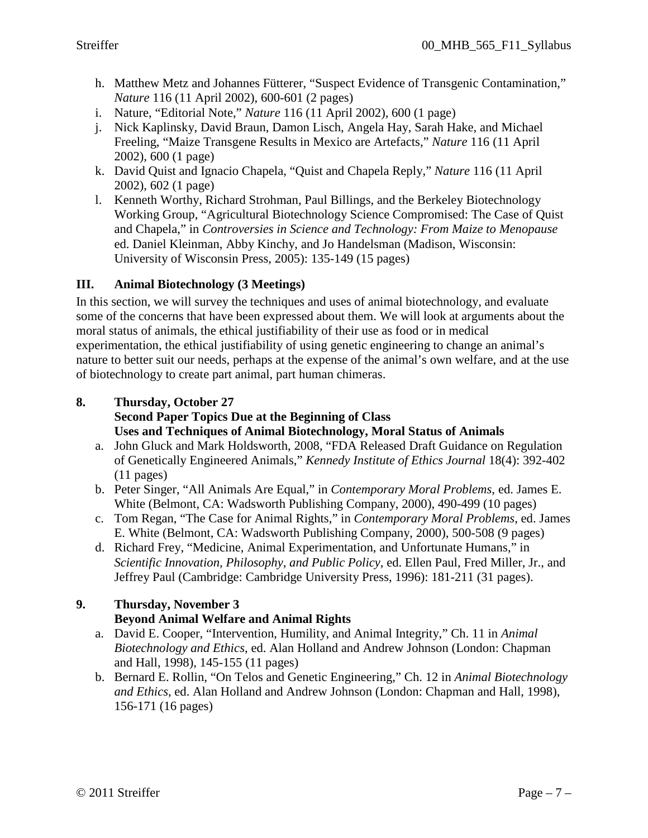- h. Matthew Metz and Johannes Fütterer, "Suspect Evidence of Transgenic Contamination," *Nature* 116 (11 April 2002), 600-601 (2 pages)
- i. Nature, "Editorial Note," *Nature* 116 (11 April 2002), 600 (1 page)
- j. Nick Kaplinsky, David Braun, Damon Lisch, Angela Hay, Sarah Hake, and Michael Freeling, "Maize Transgene Results in Mexico are Artefacts," *Nature* 116 (11 April 2002), 600 (1 page)
- k. David Quist and Ignacio Chapela, "Quist and Chapela Reply," *Nature* 116 (11 April 2002), 602 (1 page)
- l. Kenneth Worthy, Richard Strohman, Paul Billings, and the Berkeley Biotechnology Working Group, "Agricultural Biotechnology Science Compromised: The Case of Quist and Chapela," in *Controversies in Science and Technology: From Maize to Menopause* ed. Daniel Kleinman, Abby Kinchy, and Jo Handelsman (Madison, Wisconsin: University of Wisconsin Press, 2005): 135-149 (15 pages)

### **III. Animal Biotechnology (3 Meetings)**

In this section, we will survey the techniques and uses of animal biotechnology, and evaluate some of the concerns that have been expressed about them. We will look at arguments about the moral status of animals, the ethical justifiability of their use as food or in medical experimentation, the ethical justifiability of using genetic engineering to change an animal's nature to better suit our needs, perhaps at the expense of the animal's own welfare, and at the use of biotechnology to create part animal, part human chimeras.

### **8. Thursday, October 27 Second Paper Topics Due at the Beginning of Class Uses and Techniques of Animal Biotechnology, Moral Status of Animals**

- a. John Gluck and Mark Holdsworth, 2008, "FDA Released Draft Guidance on Regulation of Genetically Engineered Animals," *Kennedy Institute of Ethics Journal* 18(4): 392-402 (11 pages)
- b. Peter Singer, "All Animals Are Equal," in *Contemporary Moral Problems*, ed. James E. White (Belmont, CA: Wadsworth Publishing Company, 2000), 490-499 (10 pages)
- c. Tom Regan, "The Case for Animal Rights," in *Contemporary Moral Problems*, ed. James E. White (Belmont, CA: Wadsworth Publishing Company, 2000), 500-508 (9 pages)
- d. Richard Frey, "Medicine, Animal Experimentation, and Unfortunate Humans," in *Scientific Innovation, Philosophy, and Public Policy*, ed. Ellen Paul, Fred Miller, Jr., and Jeffrey Paul (Cambridge: Cambridge University Press, 1996): 181-211 (31 pages).

# **9. Thursday, November 3 Beyond Animal Welfare and Animal Rights**

- a. David E. Cooper, "Intervention, Humility, and Animal Integrity," Ch. 11 in *Animal Biotechnology and Ethics*, ed. Alan Holland and Andrew Johnson (London: Chapman and Hall, 1998), 145-155 (11 pages)
- b. Bernard E. Rollin, "On Telos and Genetic Engineering," Ch. 12 in *Animal Biotechnology and Ethics*, ed. Alan Holland and Andrew Johnson (London: Chapman and Hall, 1998), 156-171 (16 pages)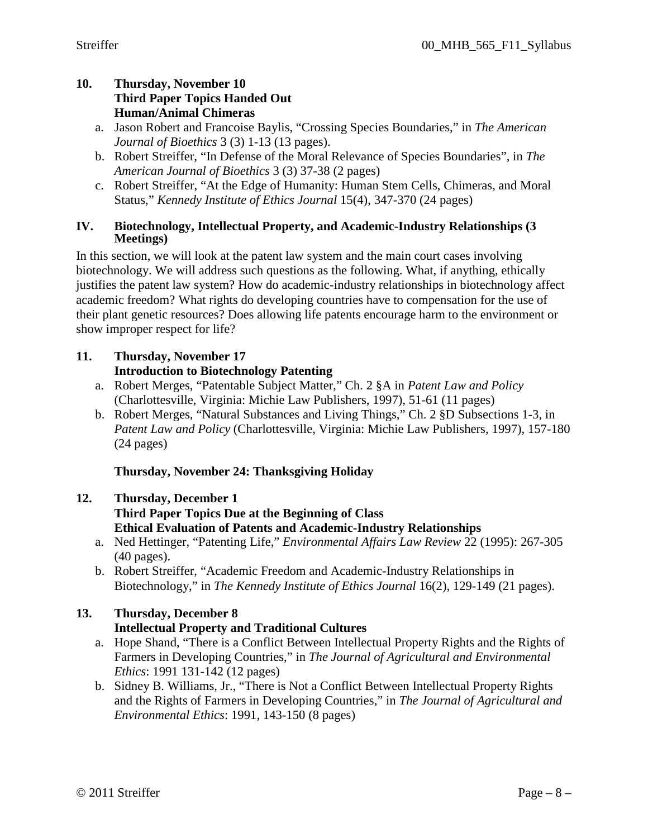### **10. Thursday, November 10 Third Paper Topics Handed Out Human/Animal Chimeras**

- a. Jason Robert and Francoise Baylis, "Crossing Species Boundaries," in *The American Journal of Bioethics* 3 (3) 1-13 (13 pages).
- b. Robert Streiffer, "In Defense of the Moral Relevance of Species Boundaries", in *The American Journal of Bioethics* 3 (3) 37-38 (2 pages)
- c. Robert Streiffer, "At the Edge of Humanity: Human Stem Cells, Chimeras, and Moral Status," *Kennedy Institute of Ethics Journal* 15(4), 347-370 (24 pages)

### **IV. Biotechnology, Intellectual Property, and Academic-Industry Relationships (3 Meetings)**

In this section, we will look at the patent law system and the main court cases involving biotechnology. We will address such questions as the following. What, if anything, ethically justifies the patent law system? How do academic-industry relationships in biotechnology affect academic freedom? What rights do developing countries have to compensation for the use of their plant genetic resources? Does allowing life patents encourage harm to the environment or show improper respect for life?

## **11. Thursday, November 17 Introduction to Biotechnology Patenting**

- a. Robert Merges, "Patentable Subject Matter," Ch. 2 §A in *Patent Law and Policy* (Charlottesville, Virginia: Michie Law Publishers, 1997), 51-61 (11 pages)
- b. Robert Merges, "Natural Substances and Living Things," Ch. 2 §D Subsections 1-3, in *Patent Law and Policy* (Charlottesville, Virginia: Michie Law Publishers, 1997), 157-180 (24 pages)

### **Thursday, November 24: Thanksgiving Holiday**

# **12. Thursday, December 1 Third Paper Topics Due at the Beginning of Class Ethical Evaluation of Patents and Academic-Industry Relationships**

- a. Ned Hettinger, "Patenting Life," *Environmental Affairs Law Review* 22 (1995): 267-305 (40 pages).
- b. Robert Streiffer, "Academic Freedom and Academic-Industry Relationships in Biotechnology," in *The Kennedy Institute of Ethics Journal* 16(2), 129-149 (21 pages).

# **13. Thursday, December 8**

### **Intellectual Property and Traditional Cultures**

- a. Hope Shand, "There is a Conflict Between Intellectual Property Rights and the Rights of Farmers in Developing Countries," in *The Journal of Agricultural and Environmental Ethics*: 1991 131-142 (12 pages)
- b. Sidney B. Williams, Jr., "There is Not a Conflict Between Intellectual Property Rights and the Rights of Farmers in Developing Countries," in *The Journal of Agricultural and Environmental Ethics*: 1991, 143-150 (8 pages)